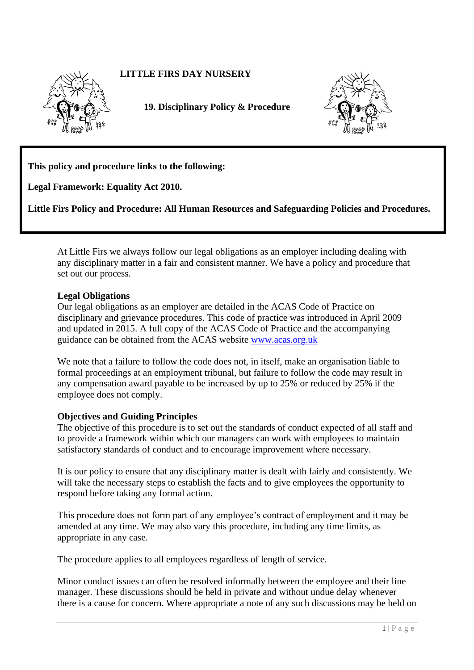# **LITTLE FIRS DAY NURSERY**



**19. Disciplinary Policy & Procedure** 



**This policy and procedure links to the following:** 

**Legal Framework: Equality Act 2010.**

**Little Firs Policy and Procedure: All Human Resources and Safeguarding Policies and Procedures.**

At Little Firs we always follow our legal obligations as an employer including dealing with any disciplinary matter in a fair and consistent manner. We have a policy and procedure that set out our process.

### **Legal Obligations**

Our legal obligations as an employer are detailed in the ACAS Code of Practice on disciplinary and grievance procedures. This code of practice was introduced in April 2009 and updated in 2015. A full copy of the ACAS Code of Practice and the accompanying guidance can be obtained from the ACAS website [www.acas.org.uk](http://www.acas.org.uk/) 

We note that a failure to follow the code does not, in itself, make an organisation liable to formal proceedings at an employment tribunal, but failure to follow the code may result in any compensation award payable to be increased by up to 25% or reduced by 25% if the employee does not comply.

### **Objectives and Guiding Principles**

The objective of this procedure is to set out the standards of conduct expected of all staff and to provide a framework within which our managers can work with employees to maintain satisfactory standards of conduct and to encourage improvement where necessary.

It is our policy to ensure that any disciplinary matter is dealt with fairly and consistently. We will take the necessary steps to establish the facts and to give employees the opportunity to respond before taking any formal action.

This procedure does not form part of any employee's contract of employment and it may be amended at any time. We may also vary this procedure, including any time limits, as appropriate in any case.

The procedure applies to all employees regardless of length of service.

Minor conduct issues can often be resolved informally between the employee and their line manager. These discussions should be held in private and without undue delay whenever there is a cause for concern. Where appropriate a note of any such discussions may be held on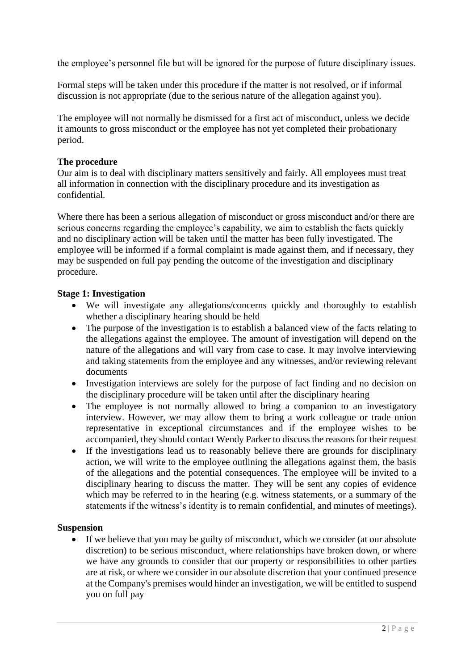the employee's personnel file but will be ignored for the purpose of future disciplinary issues.

Formal steps will be taken under this procedure if the matter is not resolved, or if informal discussion is not appropriate (due to the serious nature of the allegation against you).

The employee will not normally be dismissed for a first act of misconduct, unless we decide it amounts to gross misconduct or the employee has not yet completed their probationary period.

## **The procedure**

Our aim is to deal with disciplinary matters sensitively and fairly. All employees must treat all information in connection with the disciplinary procedure and its investigation as confidential.

Where there has been a serious allegation of misconduct or gross misconduct and/or there are serious concerns regarding the employee's capability, we aim to establish the facts quickly and no disciplinary action will be taken until the matter has been fully investigated. The employee will be informed if a formal complaint is made against them, and if necessary, they may be suspended on full pay pending the outcome of the investigation and disciplinary procedure.

## **Stage 1: Investigation**

- We will investigate any allegations/concerns quickly and thoroughly to establish whether a disciplinary hearing should be held
- The purpose of the investigation is to establish a balanced view of the facts relating to the allegations against the employee. The amount of investigation will depend on the nature of the allegations and will vary from case to case. It may involve interviewing and taking statements from the employee and any witnesses, and/or reviewing relevant documents
- Investigation interviews are solely for the purpose of fact finding and no decision on the disciplinary procedure will be taken until after the disciplinary hearing
- The employee is not normally allowed to bring a companion to an investigatory interview. However, we may allow them to bring a work colleague or trade union representative in exceptional circumstances and if the employee wishes to be accompanied, they should contact Wendy Parker to discuss the reasons for their request
- If the investigations lead us to reasonably believe there are grounds for disciplinary action, we will write to the employee outlining the allegations against them, the basis of the allegations and the potential consequences. The employee will be invited to a disciplinary hearing to discuss the matter. They will be sent any copies of evidence which may be referred to in the hearing (e.g. witness statements, or a summary of the statements if the witness's identity is to remain confidential, and minutes of meetings).

### **Suspension**

• If we believe that you may be guilty of misconduct, which we consider (at our absolute discretion) to be serious misconduct, where relationships have broken down, or where we have any grounds to consider that our property or responsibilities to other parties are at risk, or where we consider in our absolute discretion that your continued presence at the Company's premises would hinder an investigation, we will be entitled to suspend you on full pay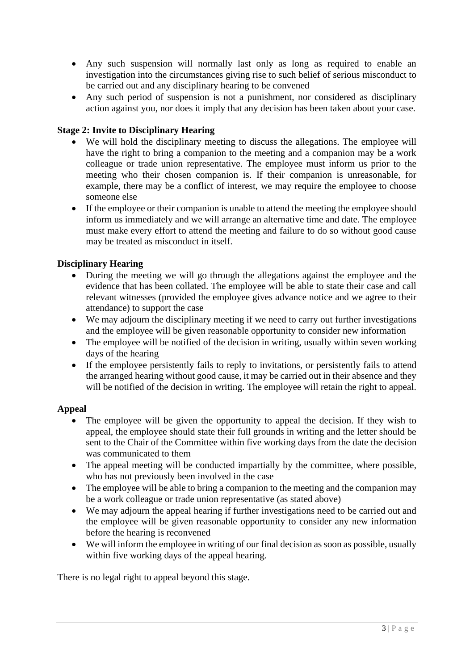- Any such suspension will normally last only as long as required to enable an investigation into the circumstances giving rise to such belief of serious misconduct to be carried out and any disciplinary hearing to be convened
- Any such period of suspension is not a punishment, nor considered as disciplinary action against you, nor does it imply that any decision has been taken about your case.

# **Stage 2: Invite to Disciplinary Hearing**

- We will hold the disciplinary meeting to discuss the allegations. The employee will have the right to bring a companion to the meeting and a companion may be a work colleague or trade union representative. The employee must inform us prior to the meeting who their chosen companion is. If their companion is unreasonable, for example, there may be a conflict of interest, we may require the employee to choose someone else
- If the employee or their companion is unable to attend the meeting the employee should inform us immediately and we will arrange an alternative time and date. The employee must make every effort to attend the meeting and failure to do so without good cause may be treated as misconduct in itself.

## **Disciplinary Hearing**

- During the meeting we will go through the allegations against the employee and the evidence that has been collated. The employee will be able to state their case and call relevant witnesses (provided the employee gives advance notice and we agree to their attendance) to support the case
- We may adjourn the disciplinary meeting if we need to carry out further investigations and the employee will be given reasonable opportunity to consider new information
- The employee will be notified of the decision in writing, usually within seven working days of the hearing
- If the employee persistently fails to reply to invitations, or persistently fails to attend the arranged hearing without good cause, it may be carried out in their absence and they will be notified of the decision in writing. The employee will retain the right to appeal.

## **Appeal**

- The employee will be given the opportunity to appeal the decision. If they wish to appeal, the employee should state their full grounds in writing and the letter should be sent to the Chair of the Committee within five working days from the date the decision was communicated to them
- The appeal meeting will be conducted impartially by the committee, where possible, who has not previously been involved in the case
- The employee will be able to bring a companion to the meeting and the companion may be a work colleague or trade union representative (as stated above)
- We may adjourn the appeal hearing if further investigations need to be carried out and the employee will be given reasonable opportunity to consider any new information before the hearing is reconvened
- We will inform the employee in writing of our final decision as soon as possible, usually within five working days of the appeal hearing.

There is no legal right to appeal beyond this stage.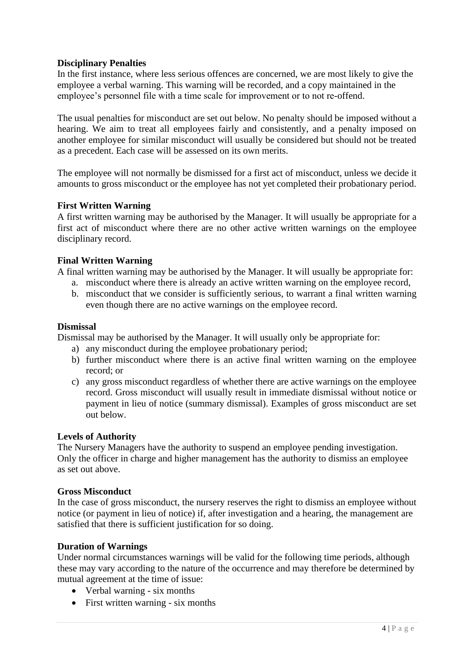## **Disciplinary Penalties**

In the first instance, where less serious offences are concerned, we are most likely to give the employee a verbal warning. This warning will be recorded, and a copy maintained in the employee's personnel file with a time scale for improvement or to not re-offend.

The usual penalties for misconduct are set out below. No penalty should be imposed without a hearing. We aim to treat all employees fairly and consistently, and a penalty imposed on another employee for similar misconduct will usually be considered but should not be treated as a precedent. Each case will be assessed on its own merits.

The employee will not normally be dismissed for a first act of misconduct, unless we decide it amounts to gross misconduct or the employee has not yet completed their probationary period.

## **First Written Warning**

A first written warning may be authorised by the Manager. It will usually be appropriate for a first act of misconduct where there are no other active written warnings on the employee disciplinary record.

## **Final Written Warning**

A final written warning may be authorised by the Manager. It will usually be appropriate for:

- a. misconduct where there is already an active written warning on the employee record,
- b. misconduct that we consider is sufficiently serious, to warrant a final written warning even though there are no active warnings on the employee record.

### **Dismissal**

Dismissal may be authorised by the Manager. It will usually only be appropriate for:

- a) any misconduct during the employee probationary period;
- b) further misconduct where there is an active final written warning on the employee record; or
- c) any gross misconduct regardless of whether there are active warnings on the employee record. Gross misconduct will usually result in immediate dismissal without notice or payment in lieu of notice (summary dismissal). Examples of gross misconduct are set out below.

### **Levels of Authority**

The Nursery Managers have the authority to suspend an employee pending investigation. Only the officer in charge and higher management has the authority to dismiss an employee as set out above.

### **Gross Misconduct**

In the case of gross misconduct, the nursery reserves the right to dismiss an employee without notice (or payment in lieu of notice) if, after investigation and a hearing, the management are satisfied that there is sufficient justification for so doing.

### **Duration of Warnings**

Under normal circumstances warnings will be valid for the following time periods, although these may vary according to the nature of the occurrence and may therefore be determined by mutual agreement at the time of issue:

- Verbal warning six months
- First written warning six months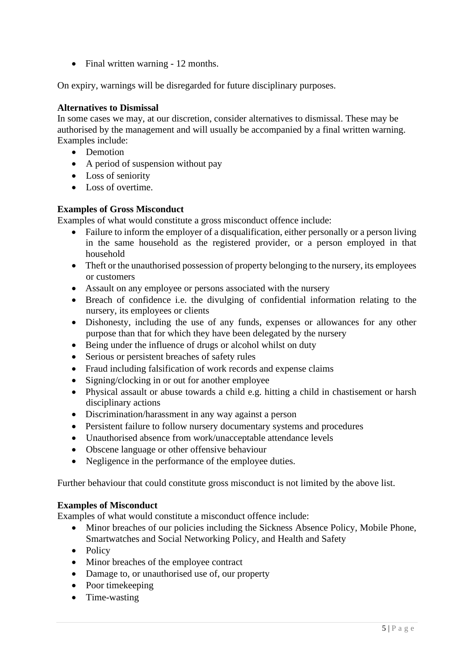• Final written warning - 12 months.

On expiry, warnings will be disregarded for future disciplinary purposes.

## **Alternatives to Dismissal**

In some cases we may, at our discretion, consider alternatives to dismissal. These may be authorised by the management and will usually be accompanied by a final written warning. Examples include:

- Demotion
- A period of suspension without pay
- Loss of seniority
- Loss of overtime.

## **Examples of Gross Misconduct**

Examples of what would constitute a gross misconduct offence include:

- Failure to inform the employer of a disqualification, either personally or a person living in the same household as the registered provider, or a person employed in that household
- Theft or the unauthorised possession of property belonging to the nursery, its employees or customers
- Assault on any employee or persons associated with the nursery
- Breach of confidence i.e. the divulging of confidential information relating to the nursery, its employees or clients
- Dishonesty, including the use of any funds, expenses or allowances for any other purpose than that for which they have been delegated by the nursery
- Being under the influence of drugs or alcohol whilst on duty
- Serious or persistent breaches of safety rules
- Fraud including falsification of work records and expense claims
- Signing/clocking in or out for another employee
- Physical assault or abuse towards a child e.g. hitting a child in chastisement or harsh disciplinary actions
- Discrimination/harassment in any way against a person
- Persistent failure to follow nursery documentary systems and procedures
- Unauthorised absence from work/unacceptable attendance levels
- Obscene language or other offensive behaviour
- Negligence in the performance of the employee duties.

Further behaviour that could constitute gross misconduct is not limited by the above list.

## **Examples of Misconduct**

Examples of what would constitute a misconduct offence include:

- Minor breaches of our policies including the Sickness Absence Policy, Mobile Phone, Smartwatches and Social Networking Policy, and Health and Safety
- Policy
- Minor breaches of the employee contract
- Damage to, or unauthorised use of, our property
- Poor timekeeping
- Time-wasting